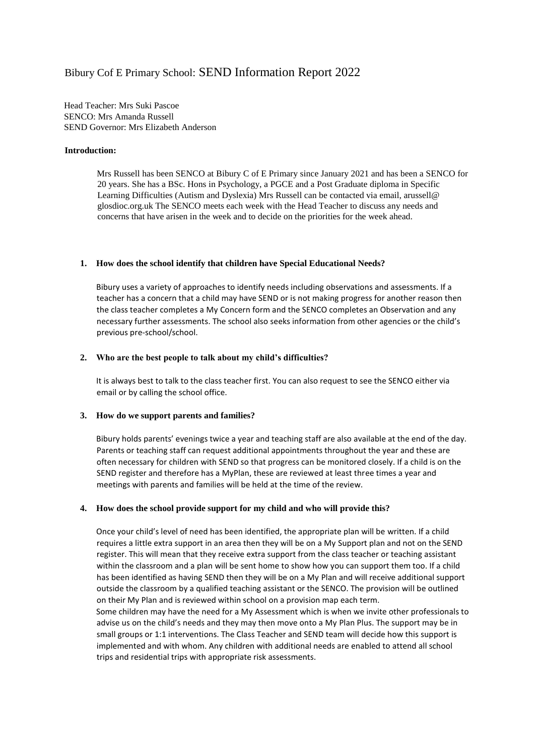# Bibury Cof E Primary School: SEND Information Report 2022

Head Teacher: Mrs Suki Pascoe SENCO: Mrs Amanda Russell SEND Governor: Mrs Elizabeth Anderson

## **Introduction:**

Mrs Russell has been SENCO at Bibury C of E Primary since January 2021 and has been a SENCO for 20 years. She has a BSc. Hons in Psychology, a PGCE and a Post Graduate diploma in Specific Learning Difficulties (Autism and Dyslexia) Mrs Russell can be contacted via email, arussell@ glosdioc.org.uk The SENCO meets each week with the Head Teacher to discuss any needs and concerns that have arisen in the week and to decide on the priorities for the week ahead.

## **1. How does the school identify that children have Special Educational Needs?**

Bibury uses a variety of approaches to identify needs including observations and assessments. If a teacher has a concern that a child may have SEND or is not making progress for another reason then the class teacher completes a My Concern form and the SENCO completes an Observation and any necessary further assessments. The school also seeks information from other agencies or the child's previous pre-school/school.

## **2. Who are the best people to talk about my child's difficulties?**

It is always best to talk to the class teacher first. You can also request to see the SENCO either via email or by calling the school office.

# **3. How do we support parents and families?**

Bibury holds parents' evenings twice a year and teaching staff are also available at the end of the day. Parents or teaching staff can request additional appointments throughout the year and these are often necessary for children with SEND so that progress can be monitored closely. If a child is on the SEND register and therefore has a MyPlan, these are reviewed at least three times a year and meetings with parents and families will be held at the time of the review.

# **4. How does the school provide support for my child and who will provide this?**

Once your child's level of need has been identified, the appropriate plan will be written. If a child requires a little extra support in an area then they will be on a My Support plan and not on the SEND register. This will mean that they receive extra support from the class teacher or teaching assistant within the classroom and a plan will be sent home to show how you can support them too. If a child has been identified as having SEND then they will be on a My Plan and will receive additional support outside the classroom by a qualified teaching assistant or the SENCO. The provision will be outlined on their My Plan and is reviewed within school on a provision map each term.

Some children may have the need for a My Assessment which is when we invite other professionals to advise us on the child's needs and they may then move onto a My Plan Plus. The support may be in small groups or 1:1 interventions. The Class Teacher and SEND team will decide how this support is implemented and with whom. Any children with additional needs are enabled to attend all school trips and residential trips with appropriate risk assessments.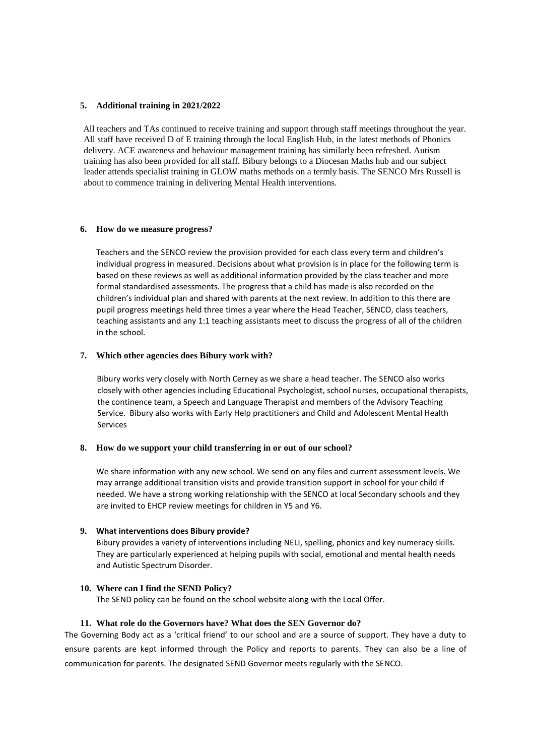## **5. Additional training in 2021/2022**

All teachers and TAs continued to receive training and support through staff meetings throughout the year. All staff have received D of E training through the local English Hub, in the latest methods of Phonics delivery. ACE awareness and behaviour management training has similarly been refreshed. Autism training has also been provided for all staff. Bibury belongs to a Diocesan Maths hub and our subject leader attends specialist training in GLOW maths methods on a termly basis. The SENCO Mrs Russell is about to commence training in delivering Mental Health interventions.

## **6. How do we measure progress?**

Teachers and the SENCO review the provision provided for each class every term and children's individual progress in measured. Decisions about what provision is in place for the following term is based on these reviews as well as additional information provided by the class teacher and more formal standardised assessments. The progress that a child has made is also recorded on the children's individual plan and shared with parents at the next review. In addition to this there are pupil progress meetings held three times a year where the Head Teacher, SENCO, class teachers, teaching assistants and any 1:1 teaching assistants meet to discuss the progress of all of the children in the school.

## **7. Which other agencies does Bibury work with?**

Bibury works very closely with North Cerney as we share a head teacher. The SENCO also works closely with other agencies including Educational Psychologist, school nurses, occupational therapists, the continence team, a Speech and Language Therapist and members of the Advisory Teaching Service. Bibury also works with Early Help practitioners and Child and Adolescent Mental Health Services

#### **8. How do we support your child transferring in or out of our school?**

We share information with any new school. We send on any files and current assessment levels. We may arrange additional transition visits and provide transition support in school for your child if needed. We have a strong working relationship with the SENCO at local Secondary schools and they are invited to EHCP review meetings for children in Y5 and Y6.

#### **9. What interventions does Bibury provide?**

Bibury provides a variety of interventions including NELI, spelling, phonics and key numeracy skills. They are particularly experienced at helping pupils with social, emotional and mental health needs and Autistic Spectrum Disorder.

# **10. Where can I find the SEND Policy?**

The SEND policy can be found on the school website along with the Local Offer.

## **11. What role do the Governors have? What does the SEN Governor do?**

The Governing Body act as a 'critical friend' to our school and are a source of support. They have a duty to ensure parents are kept informed through the Policy and reports to parents. They can also be a line of communication for parents. The designated SEND Governor meets regularly with the SENCO.